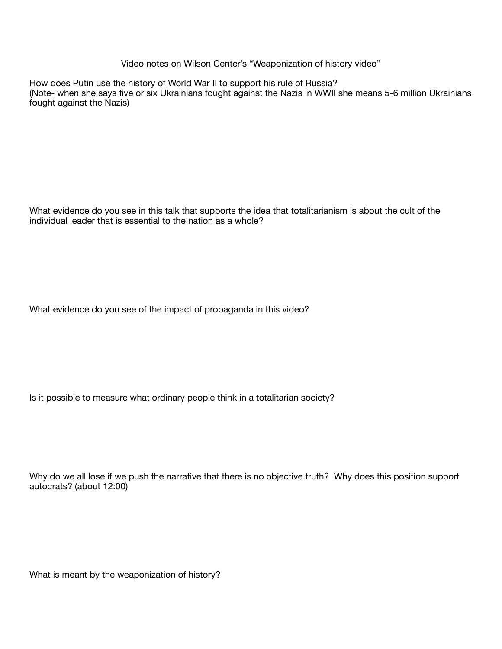Video notes on Wilson Center's "Weaponization of history video"

How does Putin use the history of World War II to support his rule of Russia? (Note- when she says five or six Ukrainians fought against the Nazis in WWII she means 5-6 million Ukrainians fought against the Nazis)

What evidence do you see in this talk that supports the idea that totalitarianism is about the cult of the individual leader that is essential to the nation as a whole?

What evidence do you see of the impact of propaganda in this video?

Is it possible to measure what ordinary people think in a totalitarian society?

Why do we all lose if we push the narrative that there is no objective truth? Why does this position support autocrats? (about 12:00)

What is meant by the weaponization of history?